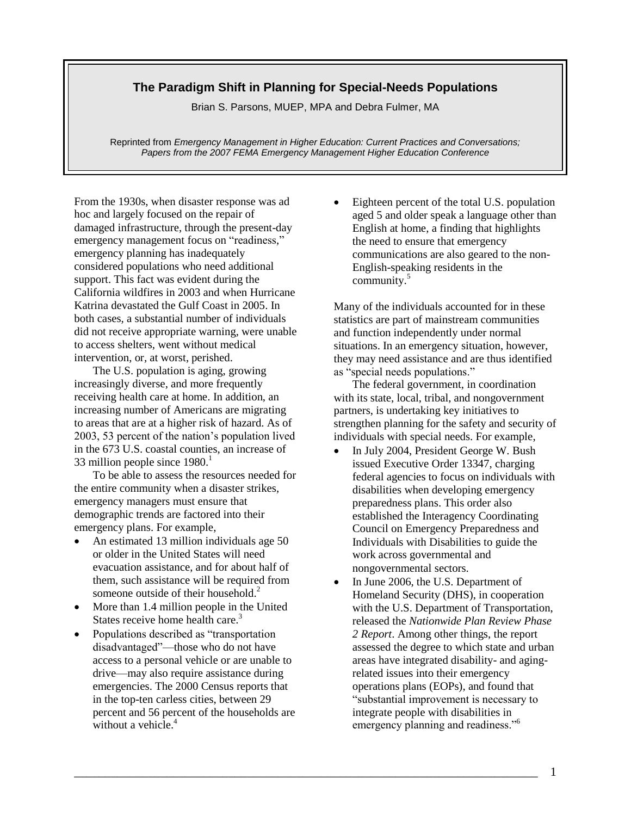## **The Paradigm Shift in Planning for Special-Needs Populations**

Brian S. Parsons, MUEP, MPA and Debra Fulmer, MA

Reprinted from *Emergency Management in Higher Education: Current Practices and Conversations; Papers from the 2007 FEMA Emergency Management Higher Education Conference*

From the 1930s, when disaster response was ad hoc and largely focused on the repair of damaged infrastructure, through the present-day emergency management focus on "readiness," emergency planning has inadequately considered populations who need additional support. This fact was evident during the California wildfires in 2003 and when Hurricane Katrina devastated the Gulf Coast in 2005. In both cases, a substantial number of individuals did not receive appropriate warning, were unable to access shelters, went without medical intervention, or, at worst, perished.

The U.S. population is aging, growing increasingly diverse, and more frequently receiving health care at home. In addition, an increasing number of Americans are migrating to areas that are at a higher risk of hazard. As of 2003, 53 percent of the nation's population lived in the 673 U.S. coastal counties, an increase of 33 million people since  $1980<sup>1</sup>$ 

To be able to assess the resources needed for the entire community when a disaster strikes, emergency managers must ensure that demographic trends are factored into their emergency plans. For example,

- An estimated 13 million individuals age 50 or older in the United States will need evacuation assistance, and for about half of them, such assistance will be required from someone outside of their household.<sup>2</sup>
- More than 1.4 million people in the United States receive home health care. $3$
- Populations described as "transportation" disadvantaged"—those who do not have access to a personal vehicle or are unable to drive—may also require assistance during emergencies. The 2000 Census reports that in the top-ten carless cities, between 29 percent and 56 percent of the households are without a vehicle.<sup>4</sup>

 Eighteen percent of the total U.S. population aged 5 and older speak a language other than English at home, a finding that highlights the need to ensure that emergency communications are also geared to the non-English-speaking residents in the community. 5

Many of the individuals accounted for in these statistics are part of mainstream communities and function independently under normal situations. In an emergency situation, however, they may need assistance and are thus identified as "special needs populations."

The federal government, in coordination with its state, local, tribal, and nongovernment partners, is undertaking key initiatives to strengthen planning for the safety and security of individuals with special needs. For example,

- In July 2004, President George W. Bush issued Executive Order 13347, charging federal agencies to focus on individuals with disabilities when developing emergency preparedness plans. This order also established the Interagency Coordinating Council on Emergency Preparedness and Individuals with Disabilities to guide the work across governmental and nongovernmental sectors.
- In June 2006, the U.S. Department of Homeland Security (DHS), in cooperation with the U.S. Department of Transportation, released the *Nationwide Plan Review Phase 2 Report*. Among other things, the report assessed the degree to which state and urban areas have integrated disability- and agingrelated issues into their emergency operations plans (EOPs), and found that ―substantial improvement is necessary to integrate people with disabilities in emergency planning and readiness."<sup>6</sup>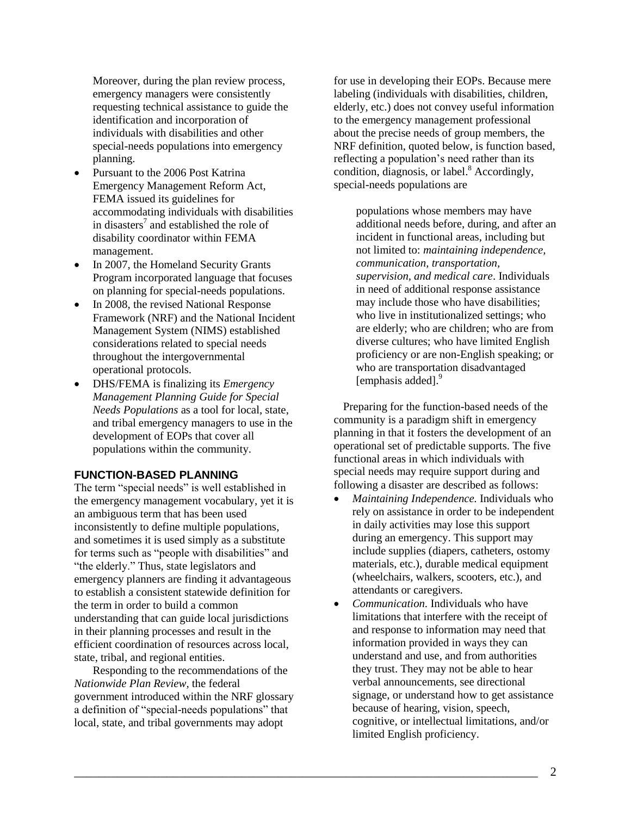Moreover, during the plan review process, emergency managers were consistently requesting technical assistance to guide the identification and incorporation of individuals with disabilities and other special-needs populations into emergency planning.

- Pursuant to the 2006 Post Katrina Emergency Management Reform Act, FEMA issued its guidelines for accommodating individuals with disabilities in disasters<sup>7</sup> and established the role of disability coordinator within FEMA management.
- In 2007, the Homeland Security Grants Program incorporated language that focuses on planning for special-needs populations.
- In 2008, the revised National Response Framework (NRF) and the National Incident Management System (NIMS) established considerations related to special needs throughout the intergovernmental operational protocols.
- DHS/FEMA is finalizing its *Emergency Management Planning Guide for Special Needs Populations* as a tool for local, state, and tribal emergency managers to use in the development of EOPs that cover all populations within the community.

### **FUNCTION-BASED PLANNING**

The term "special needs" is well established in the emergency management vocabulary, yet it is an ambiguous term that has been used inconsistently to define multiple populations, and sometimes it is used simply as a substitute for terms such as "people with disabilities" and "the elderly." Thus, state legislators and emergency planners are finding it advantageous to establish a consistent statewide definition for the term in order to build a common understanding that can guide local jurisdictions in their planning processes and result in the efficient coordination of resources across local, state, tribal, and regional entities.

Responding to the recommendations of the *Nationwide Plan Review,* the federal government introduced within the NRF glossary a definition of "special-needs populations" that local, state, and tribal governments may adopt

for use in developing their EOPs. Because mere labeling (individuals with disabilities, children, elderly, etc.) does not convey useful information to the emergency management professional about the precise needs of group members, the NRF definition, quoted below, is function based, reflecting a population's need rather than its condition, diagnosis, or label. $8$  Accordingly, special-needs populations are

populations whose members may have additional needs before, during, and after an incident in functional areas, including but not limited to: *maintaining independence, communication, transportation, supervision, and medical care*. Individuals in need of additional response assistance may include those who have disabilities; who live in institutionalized settings; who are elderly; who are children; who are from diverse cultures; who have limited English proficiency or are non-English speaking; or who are transportation disadvantaged [emphasis added]. 9

Preparing for the function-based needs of the community is a paradigm shift in emergency planning in that it fosters the development of an operational set of predictable supports. The five functional areas in which individuals with special needs may require support during and following a disaster are described as follows:

- *Maintaining Independence.* Individuals who rely on assistance in order to be independent in daily activities may lose this support during an emergency. This support may include supplies (diapers, catheters, ostomy materials, etc.), durable medical equipment (wheelchairs, walkers, scooters, etc.), and attendants or caregivers.
- *Communication.* Individuals who have limitations that interfere with the receipt of and response to information may need that information provided in ways they can understand and use, and from authorities they trust. They may not be able to hear verbal announcements, see directional signage, or understand how to get assistance because of hearing, vision, speech, cognitive, or intellectual limitations, and/or limited English proficiency.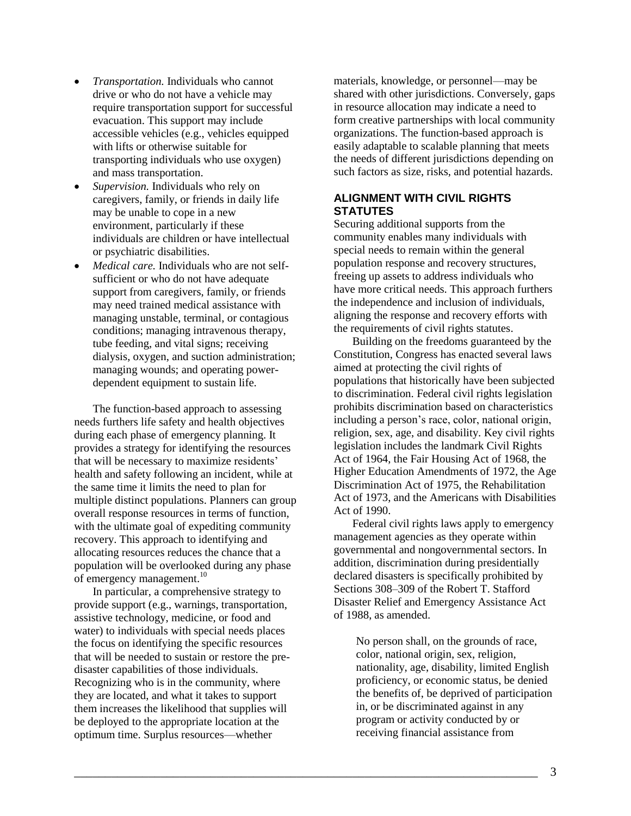- *Transportation.* Individuals who cannot drive or who do not have a vehicle may require transportation support for successful evacuation. This support may include accessible vehicles (e.g., vehicles equipped with lifts or otherwise suitable for transporting individuals who use oxygen) and mass transportation.
- *Supervision.* Individuals who rely on caregivers, family, or friends in daily life may be unable to cope in a new environment, particularly if these individuals are children or have intellectual or psychiatric disabilities.
- *Medical care.* Individuals who are not selfsufficient or who do not have adequate support from caregivers, family, or friends may need trained medical assistance with managing unstable, terminal, or contagious conditions; managing intravenous therapy, tube feeding, and vital signs; receiving dialysis, oxygen, and suction administration; managing wounds; and operating powerdependent equipment to sustain life.

The function-based approach to assessing needs furthers life safety and health objectives during each phase of emergency planning. It provides a strategy for identifying the resources that will be necessary to maximize residents' health and safety following an incident, while at the same time it limits the need to plan for multiple distinct populations. Planners can group overall response resources in terms of function, with the ultimate goal of expediting community recovery. This approach to identifying and allocating resources reduces the chance that a population will be overlooked during any phase of emergency management.<sup>10</sup>

In particular, a comprehensive strategy to provide support (e.g., warnings, transportation, assistive technology, medicine, or food and water) to individuals with special needs places the focus on identifying the specific resources that will be needed to sustain or restore the predisaster capabilities of those individuals. Recognizing who is in the community, where they are located, and what it takes to support them increases the likelihood that supplies will be deployed to the appropriate location at the optimum time. Surplus resources—whether

materials, knowledge, or personnel—may be shared with other jurisdictions. Conversely, gaps in resource allocation may indicate a need to form creative partnerships with local community organizations. The function-based approach is easily adaptable to scalable planning that meets the needs of different jurisdictions depending on such factors as size, risks, and potential hazards.

# **ALIGNMENT WITH CIVIL RIGHTS STATUTES**

Securing additional supports from the community enables many individuals with special needs to remain within the general population response and recovery structures, freeing up assets to address individuals who have more critical needs. This approach furthers the independence and inclusion of individuals, aligning the response and recovery efforts with the requirements of civil rights statutes.

Building on the freedoms guaranteed by the Constitution, Congress has enacted several laws aimed at protecting the civil rights of populations that historically have been subjected to discrimination. Federal civil rights legislation prohibits discrimination based on characteristics including a person's race, color, national origin, religion, sex, age, and disability. Key civil rights legislation includes the landmark Civil Rights Act of 1964, the Fair Housing Act of 1968, the Higher Education Amendments of 1972, the Age Discrimination Act of 1975, the Rehabilitation Act of 1973, and the Americans with Disabilities Act of 1990.

Federal civil rights laws apply to emergency management agencies as they operate within governmental and nongovernmental sectors. In addition, discrimination during presidentially declared disasters is specifically prohibited by Sections 308–309 of the Robert T. Stafford Disaster Relief and Emergency Assistance Act of 1988, as amended.

No person shall, on the grounds of race, color, national origin, sex, religion, nationality, age, disability, limited English proficiency, or economic status, be denied the benefits of, be deprived of participation in, or be discriminated against in any program or activity conducted by or receiving financial assistance from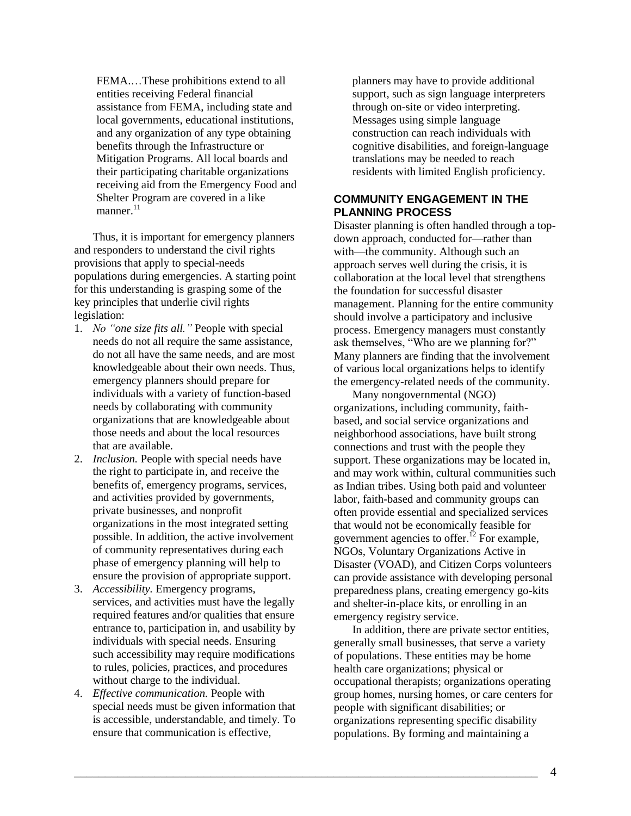FEMA.…These prohibitions extend to all entities receiving Federal financial assistance from FEMA, including state and local governments, educational institutions, and any organization of any type obtaining benefits through the Infrastructure or Mitigation Programs. All local boards and their participating charitable organizations receiving aid from the Emergency Food and Shelter Program are covered in a like manner. $^{11}$ 

Thus, it is important for emergency planners and responders to understand the civil rights provisions that apply to special-needs populations during emergencies. A starting point for this understanding is grasping some of the key principles that underlie civil rights legislation:

- 1. *No "one size fits all."* People with special needs do not all require the same assistance, do not all have the same needs, and are most knowledgeable about their own needs. Thus, emergency planners should prepare for individuals with a variety of function-based needs by collaborating with community organizations that are knowledgeable about those needs and about the local resources that are available.
- 2. *Inclusion.* People with special needs have the right to participate in, and receive the benefits of, emergency programs, services, and activities provided by governments, private businesses, and nonprofit organizations in the most integrated setting possible. In addition, the active involvement of community representatives during each phase of emergency planning will help to ensure the provision of appropriate support.
- 3. *Accessibility.* Emergency programs, services, and activities must have the legally required features and/or qualities that ensure entrance to, participation in, and usability by individuals with special needs. Ensuring such accessibility may require modifications to rules, policies, practices, and procedures without charge to the individual.
- 4. *Effective communication.* People with special needs must be given information that is accessible, understandable, and timely. To ensure that communication is effective,

planners may have to provide additional support, such as sign language interpreters through on-site or video interpreting. Messages using simple language construction can reach individuals with cognitive disabilities, and foreign-language translations may be needed to reach residents with limited English proficiency.

## **COMMUNITY ENGAGEMENT IN THE PLANNING PROCESS**

Disaster planning is often handled through a topdown approach, conducted for—rather than with—the community. Although such an approach serves well during the crisis, it is collaboration at the local level that strengthens the foundation for successful disaster management. Planning for the entire community should involve a participatory and inclusive process. Emergency managers must constantly ask themselves, "Who are we planning for?" Many planners are finding that the involvement of various local organizations helps to identify the emergency-related needs of the community.

Many nongovernmental (NGO) organizations, including community, faithbased, and social service organizations and neighborhood associations, have built strong connections and trust with the people they support. These organizations may be located in, and may work within, cultural communities such as Indian tribes. Using both paid and volunteer labor, faith-based and community groups can often provide essential and specialized services that would not be economically feasible for government agencies to offer.<sup>12</sup> For example, NGOs, Voluntary Organizations Active in Disaster (VOAD), and Citizen Corps volunteers can provide assistance with developing personal preparedness plans, creating emergency go-kits and shelter-in-place kits, or enrolling in an emergency registry service.

In addition, there are private sector entities, generally small businesses, that serve a variety of populations. These entities may be home health care organizations; physical or occupational therapists; organizations operating group homes, nursing homes, or care centers for people with significant disabilities; or organizations representing specific disability populations. By forming and maintaining a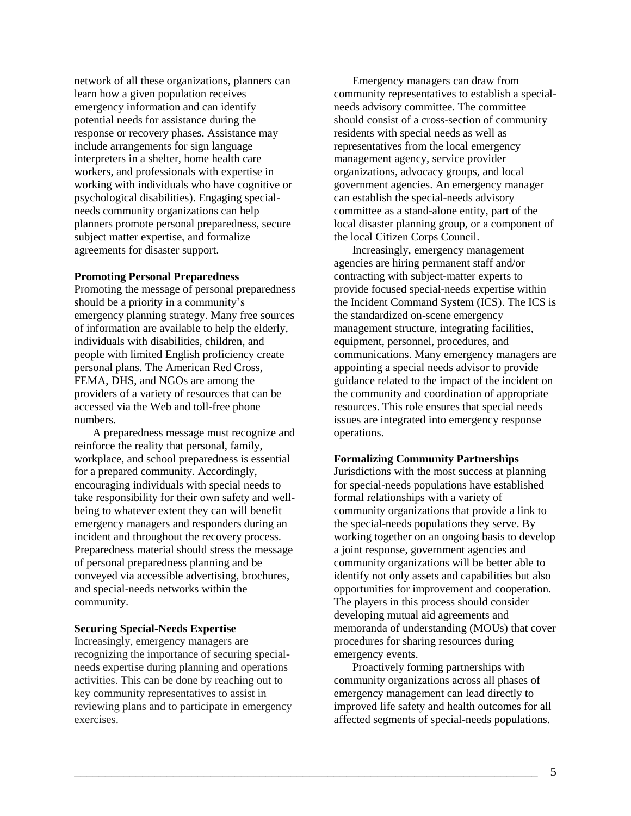network of all these organizations, planners can learn how a given population receives emergency information and can identify potential needs for assistance during the response or recovery phases. Assistance may include arrangements for sign language interpreters in a shelter, home health care workers, and professionals with expertise in working with individuals who have cognitive or psychological disabilities). Engaging specialneeds community organizations can help planners promote personal preparedness, secure subject matter expertise, and formalize agreements for disaster support.

#### **Promoting Personal Preparedness**

Promoting the message of personal preparedness should be a priority in a community's emergency planning strategy. Many free sources of information are available to help the elderly, individuals with disabilities, children, and people with limited English proficiency create personal plans. The American Red Cross, FEMA, DHS, and NGOs are among the providers of a variety of resources that can be accessed via the Web and toll-free phone numbers.

A preparedness message must recognize and reinforce the reality that personal, family, workplace, and school preparedness is essential for a prepared community. Accordingly, encouraging individuals with special needs to take responsibility for their own safety and wellbeing to whatever extent they can will benefit emergency managers and responders during an incident and throughout the recovery process. Preparedness material should stress the message of personal preparedness planning and be conveyed via accessible advertising, brochures, and special-needs networks within the community.

### **Securing Special-Needs Expertise**

Increasingly, emergency managers are recognizing the importance of securing specialneeds expertise during planning and operations activities. This can be done by reaching out to key community representatives to assist in reviewing plans and to participate in emergency exercises.

Emergency managers can draw from community representatives to establish a specialneeds advisory committee. The committee should consist of a cross-section of community residents with special needs as well as representatives from the local emergency management agency, service provider organizations, advocacy groups, and local government agencies. An emergency manager can establish the special-needs advisory committee as a stand-alone entity, part of the local disaster planning group, or a component of the local Citizen Corps Council.

Increasingly, emergency management agencies are hiring permanent staff and/or contracting with subject-matter experts to provide focused special-needs expertise within the Incident Command System (ICS). The ICS is the standardized on-scene emergency management structure, integrating facilities, equipment, personnel, procedures, and communications. Many emergency managers are appointing a special needs advisor to provide guidance related to the impact of the incident on the community and coordination of appropriate resources. This role ensures that special needs issues are integrated into emergency response operations.

#### **Formalizing Community Partnerships**

Jurisdictions with the most success at planning for special-needs populations have established formal relationships with a variety of community organizations that provide a link to the special-needs populations they serve. By working together on an ongoing basis to develop a joint response, government agencies and community organizations will be better able to identify not only assets and capabilities but also opportunities for improvement and cooperation. The players in this process should consider developing mutual aid agreements and memoranda of understanding (MOUs) that cover procedures for sharing resources during emergency events.

Proactively forming partnerships with community organizations across all phases of emergency management can lead directly to improved life safety and health outcomes for all affected segments of special-needs populations.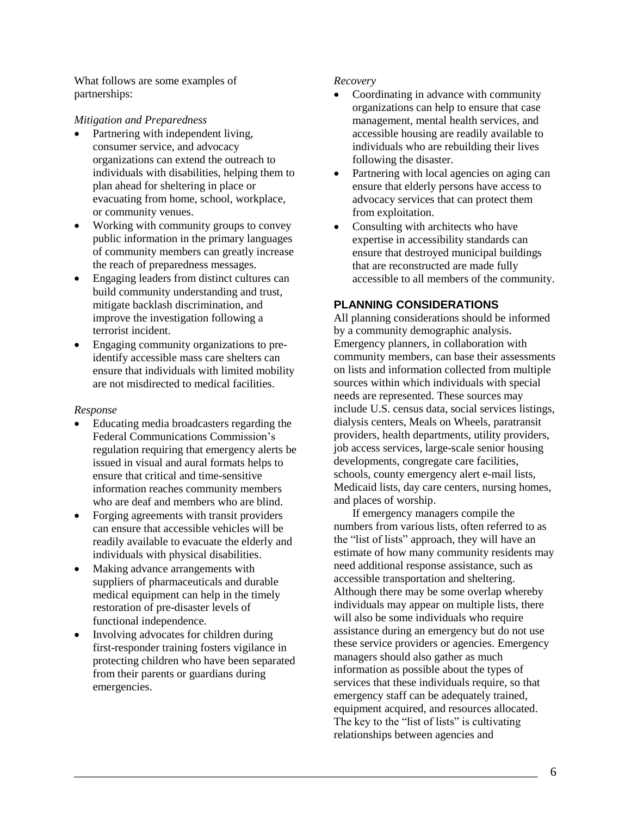What follows are some examples of partnerships:

## *Mitigation and Preparedness*

- Partnering with independent living, consumer service, and advocacy organizations can extend the outreach to individuals with disabilities, helping them to plan ahead for sheltering in place or evacuating from home, school, workplace, or community venues.
- Working with community groups to convey public information in the primary languages of community members can greatly increase the reach of preparedness messages.
- Engaging leaders from distinct cultures can build community understanding and trust, mitigate backlash discrimination, and improve the investigation following a terrorist incident.
- Engaging community organizations to preidentify accessible mass care shelters can ensure that individuals with limited mobility are not misdirected to medical facilities.

#### *Response*

- Educating media broadcasters regarding the Federal Communications Commission's regulation requiring that emergency alerts be issued in visual and aural formats helps to ensure that critical and time-sensitive information reaches community members who are deaf and members who are blind.
- Forging agreements with transit providers can ensure that accessible vehicles will be readily available to evacuate the elderly and individuals with physical disabilities.
- Making advance arrangements with suppliers of pharmaceuticals and durable medical equipment can help in the timely restoration of pre-disaster levels of functional independence.
- Involving advocates for children during first-responder training fosters vigilance in protecting children who have been separated from their parents or guardians during emergencies.

### *Recovery*

- Coordinating in advance with community organizations can help to ensure that case management, mental health services, and accessible housing are readily available to individuals who are rebuilding their lives following the disaster.
- Partnering with local agencies on aging can ensure that elderly persons have access to advocacy services that can protect them from exploitation.
- Consulting with architects who have expertise in accessibility standards can ensure that destroyed municipal buildings that are reconstructed are made fully accessible to all members of the community.

# **PLANNING CONSIDERATIONS**

All planning considerations should be informed by a community demographic analysis. Emergency planners, in collaboration with community members, can base their assessments on lists and information collected from multiple sources within which individuals with special needs are represented. These sources may include U.S. census data, social services listings, dialysis centers, Meals on Wheels, paratransit providers, health departments, utility providers, job access services, large-scale senior housing developments, congregate care facilities, schools, county emergency alert e-mail lists, Medicaid lists, day care centers, nursing homes, and places of worship.

If emergency managers compile the numbers from various lists, often referred to as the "list of lists" approach, they will have an estimate of how many community residents may need additional response assistance, such as accessible transportation and sheltering. Although there may be some overlap whereby individuals may appear on multiple lists, there will also be some individuals who require assistance during an emergency but do not use these service providers or agencies. Emergency managers should also gather as much information as possible about the types of services that these individuals require, so that emergency staff can be adequately trained, equipment acquired, and resources allocated. The key to the "list of lists" is cultivating relationships between agencies and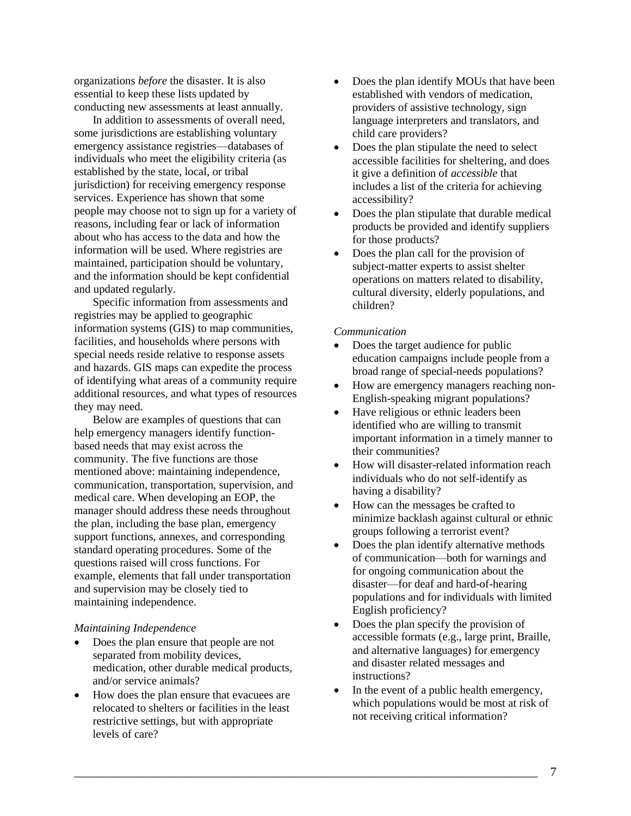organizations *before* the disaster. It is also essential to keep these lists updated by conducting new assessments at least annually.

In addition to assessments of overall need, some jurisdictions are establishing voluntary emergency assistance registries—databases of individuals who meet the eligibility criteria (as established by the state, local, or tribal jurisdiction) for receiving emergency response services. Experience has shown that some people may choose not to sign up for a variety of reasons, including fear or lack of information about who has access to the data and how the information will be used. Where registries are maintained, participation should be voluntary, and the information should be kept confidential and updated regularly.

Specific information from assessments and registries may be applied to geographic information systems (GIS) to map communities, facilities, and households where persons with special needs reside relative to response assets and hazards. GIS maps can expedite the process of identifying what areas of a community require additional resources, and what types of resources they may need.

Below are examples of questions that can help emergency managers identify functionbased needs that may exist across the community. The five functions are those mentioned above: maintaining independence, communication, transportation, supervision, and medical care. When developing an EOP, the manager should address these needs throughout the plan, including the base plan, emergency support functions, annexes, and corresponding standard operating procedures. Some of the questions raised will cross functions. For example, elements that fall under transportation and supervision may be closely tied to maintaining independence.

#### *Maintaining Independence*

- Does the plan ensure that people are not separated from mobility devices, medication, other durable medical products, and/or service animals?
- How does the plan ensure that evacuees are relocated to shelters or facilities in the least restrictive settings, but with appropriate levels of care?
- Does the plan identify MOUs that have been established with vendors of medication, providers of assistive technology, sign language interpreters and translators, and child care providers?
- Does the plan stipulate the need to select accessible facilities for sheltering, and does it give a definition of *accessible* that includes a list of the criteria for achieving accessibility?
- Does the plan stipulate that durable medical products be provided and identify suppliers for those products?
- Does the plan call for the provision of subject-matter experts to assist shelter operations on matters related to disability, cultural diversity, elderly populations, and children?

#### *Communication*

- Does the target audience for public education campaigns include people from a broad range of special-needs populations?
- How are emergency managers reaching non-English-speaking migrant populations?
- Have religious or ethnic leaders been identified who are willing to transmit important information in a timely manner to their communities?
- How will disaster-related information reach individuals who do not self-identify as having a disability?
- How can the messages be crafted to minimize backlash against cultural or ethnic groups following a terrorist event?
- Does the plan identify alternative methods of communication—both for warnings and for ongoing communication about the disaster—for deaf and hard-of-hearing populations and for individuals with limited English proficiency?
- Does the plan specify the provision of accessible formats (e.g., large print, Braille, and alternative languages) for emergency and disaster related messages and instructions?
- In the event of a public health emergency, which populations would be most at risk of not receiving critical information?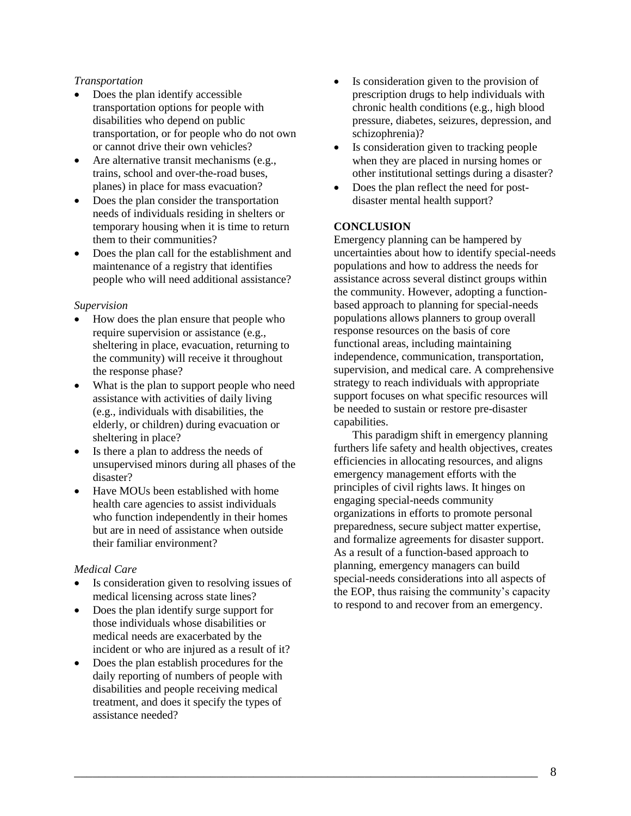### *Transportation*

- Does the plan identify accessible transportation options for people with disabilities who depend on public transportation, or for people who do not own or cannot drive their own vehicles?
- Are alternative transit mechanisms (e.g., trains, school and over-the-road buses, planes) in place for mass evacuation?
- Does the plan consider the transportation needs of individuals residing in shelters or temporary housing when it is time to return them to their communities?
- Does the plan call for the establishment and maintenance of a registry that identifies people who will need additional assistance?

### *Supervision*

- How does the plan ensure that people who require supervision or assistance (e.g., sheltering in place, evacuation, returning to the community) will receive it throughout the response phase?
- What is the plan to support people who need assistance with activities of daily living (e.g., individuals with disabilities, the elderly, or children) during evacuation or sheltering in place?
- Is there a plan to address the needs of unsupervised minors during all phases of the disaster?
- Have MOUs been established with home health care agencies to assist individuals who function independently in their homes but are in need of assistance when outside their familiar environment?

## *Medical Care*

- Is consideration given to resolving issues of medical licensing across state lines?
- Does the plan identify surge support for those individuals whose disabilities or medical needs are exacerbated by the incident or who are injured as a result of it?
- Does the plan establish procedures for the daily reporting of numbers of people with disabilities and people receiving medical treatment, and does it specify the types of assistance needed?
- Is consideration given to the provision of prescription drugs to help individuals with chronic health conditions (e.g., high blood pressure, diabetes, seizures, depression, and schizophrenia)?
- Is consideration given to tracking people when they are placed in nursing homes or other institutional settings during a disaster?
- Does the plan reflect the need for postdisaster mental health support?

## **CONCLUSION**

Emergency planning can be hampered by uncertainties about how to identify special-needs populations and how to address the needs for assistance across several distinct groups within the community. However, adopting a functionbased approach to planning for special-needs populations allows planners to group overall response resources on the basis of core functional areas, including maintaining independence, communication, transportation, supervision, and medical care. A comprehensive strategy to reach individuals with appropriate support focuses on what specific resources will be needed to sustain or restore pre-disaster capabilities.

This paradigm shift in emergency planning furthers life safety and health objectives, creates efficiencies in allocating resources, and aligns emergency management efforts with the principles of civil rights laws. It hinges on engaging special-needs community organizations in efforts to promote personal preparedness, secure subject matter expertise, and formalize agreements for disaster support. As a result of a function-based approach to planning, emergency managers can build special-needs considerations into all aspects of the EOP, thus raising the community's capacity to respond to and recover from an emergency.